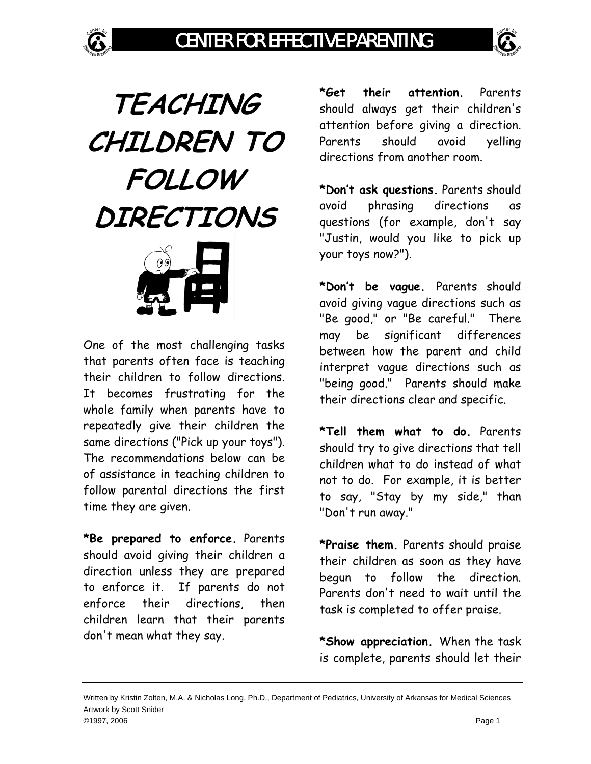





One of the most challenging tasks that parents often face is teaching their children to follow directions. It becomes frustrating for the whole family when parents have to repeatedly give their children the same directions ("Pick up your toys"). The recommendations below can be of assistance in teaching children to follow parental directions the first time they are given.

**\*Be prepared to enforce.** Parents should avoid giving their children a direction unless they are prepared to enforce it. If parents do not enforce their directions, then children learn that their parents don't mean what they say.

**\*Get their attention.** Parents should always get their children's attention before giving a direction. Parents should avoid yelling directions from another room.

**\*Don't ask questions.** Parents should avoid phrasing directions as questions (for example, don't say "Justin, would you like to pick up your toys now?").

**\*Don't be vague.** Parents should avoid giving vague directions such as "Be good," or "Be careful." There may be significant differences between how the parent and child interpret vague directions such as "being good." Parents should make their directions clear and specific.

**\*Tell them what to do.** Parents should try to give directions that tell children what to do instead of what not to do. For example, it is better to say, "Stay by my side," than "Don't run away."

**\*Praise them.** Parents should praise their children as soon as they have begun to follow the direction. Parents don't need to wait until the task is completed to offer praise.

**\*Show appreciation.** When the task is complete, parents should let their